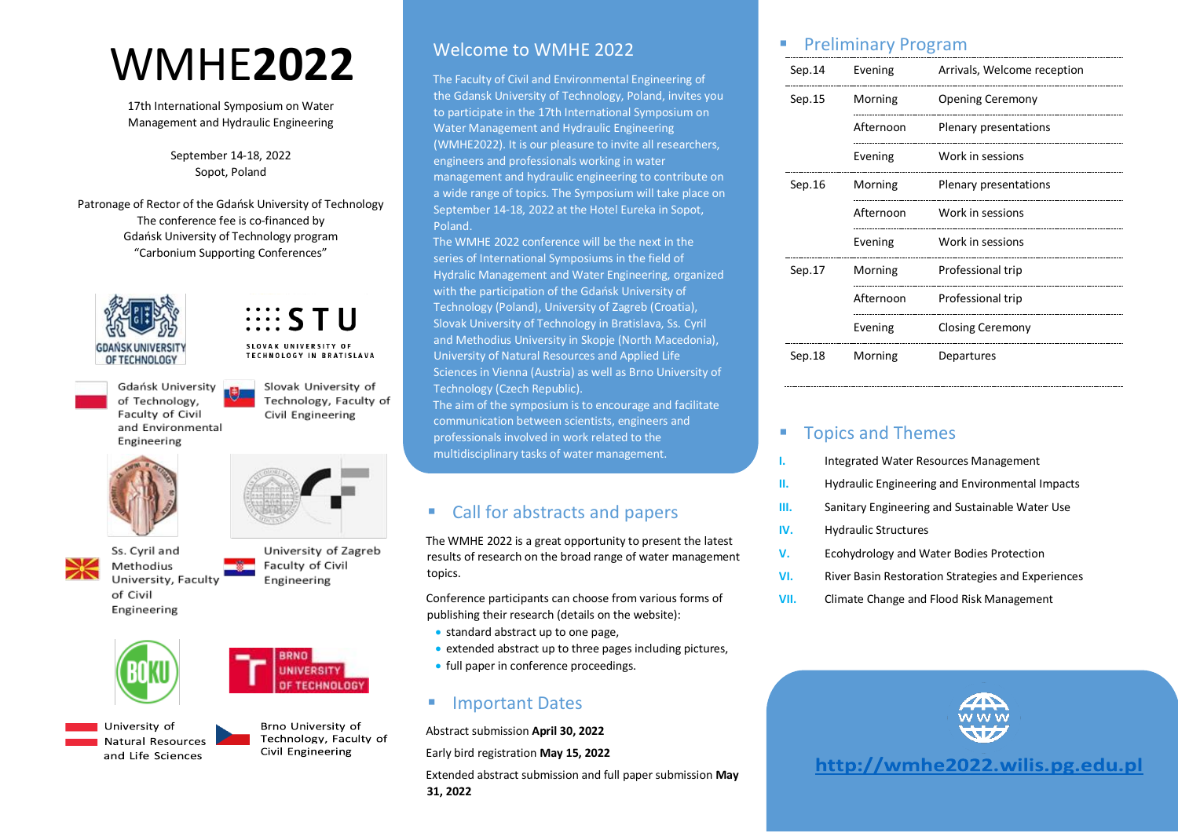# WMHE**2022**

17th International Symposium on Water Management and Hydraulic Engineering

> September 14-18, 2022 Sopot, Poland

Patronage of Rector of the Gdańsk University of Technology The conference fee is co-financed by Gdańsk University of Technology program "Carbonium Supporting Conferences"





SLOVAK HNIVERSITY OF **TECHNOLOGY IN BRATISLAVA** 

Slovak University of

Civil Engineering

Technology, Faculty of

**Gdańsk University** of Technology, Faculty of Civil and Environmental Engineering





Ss. Cyril and Methodius University, Faculty

University of Zagreb Faculty of Civil Engineering

of Civil Engineering



University of Natural Resources and Life Sciences

Brno University of Technology, Faculty of Civil Engineering

**BRNO** UNIVERSITY TECHNOLOGY

## Welcome to WMHE 2022

The Faculty of Civil and Environmental Engineering of the Gdansk University of Technology, Poland, invites you to participate in the 17th International Symposium on Water Management and Hydraulic Engineering (WMHE2022). It is our pleasure to invite all researchers, engineers and professionals working in water management and hydraulic engineering to contribute on a wide range of topics. The Symposium will take place on September 14-18, 2022 at the Hotel Eureka in Sopot, Poland.

The WMHE 2022 conference will be the next in the series of International Symposiums in the field of Hydralic Management and Water Engineering, organized with the participation of the Gdańsk University of Technology (Poland), University of Zagreb (Croatia), Slovak University of Technology in Bratislava, Ss. Cyril and Methodius University in Skopje (North Macedonia), University of Natural Resources and Applied Life Sciences in Vienna (Austria) as well as Brno University of Technology (Czech Republic).

The aim of the symposium is to encourage and facilitate communication between scientists, engineers and professionals involved in work related to the multidisciplinary tasks of water management.

## ■ Call for abstracts and papers

The WMHE 2022 is a great opportunity to present the latest results of research on the broad range of water management topics.

Conference participants can choose from various forms of publishing their research (details on the website):

- standard abstract up to one page,
- extended abstract up to three pages including pictures,
- full paper in conference proceedings.

### ■ Important Dates

Abstract submission **April 30, 2022**

Early bird registration **May 15, 2022**

Extended abstract submission and full paper submission **May 31, 2022**

## **Preliminary Program**

| Sep.14 | Evening   | Arrivals, Welcome reception |
|--------|-----------|-----------------------------|
| Sep.15 | Morning   | <b>Opening Ceremony</b>     |
|        | Afternoon | Plenary presentations       |
|        | Evening   | Work in sessions            |
| Sep.16 | Morning   | Plenary presentations       |
|        | Afternoon | Work in sessions            |
|        | Evening   | Work in sessions            |
| Sep.17 | Morning   | Professional trip           |
|        | Afternoon | Professional trip           |
|        | Evening   | <b>Closing Ceremony</b>     |
| Sep.18 | Morning   | Departures                  |

## ■ Topics and Themes

- **I.** Integrated Water Resources Management
- **II.** Hydraulic Engineering and Environmental Impacts
- **III.** Sanitary Engineering and Sustainable Water Use
- **IV.** Hydraulic Structures
- **V.** Ecohydrology and Water Bodies Protection
- **VI.** River Basin Restoration Strategies and Experiences
- **VII.** Climate Change and Flood Risk Management



http://wmhe2022.wilis.pg.edu.pl